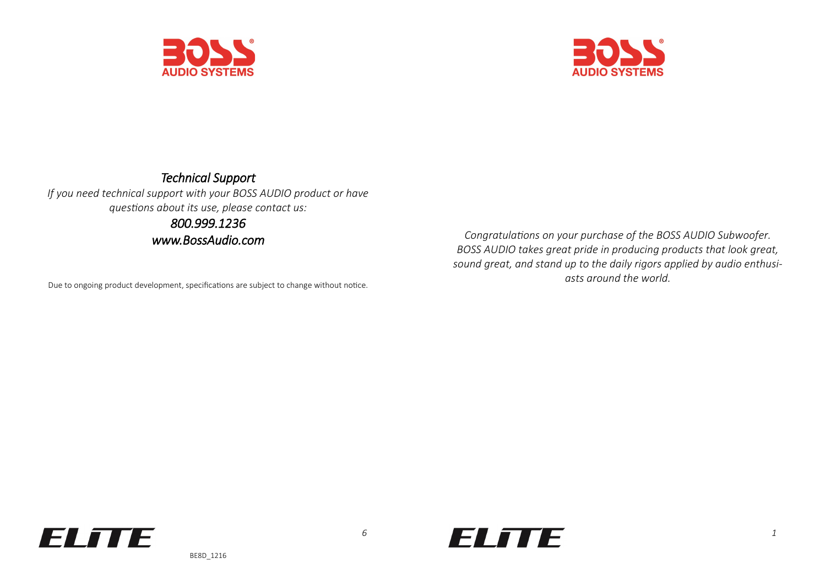



### *Technical Support If you need technical support with your BOSS AUDIO product or have questions about its use, please contact us: 800.999.1236*

*www.BossAudio.com* 

Due to ongoing product development, specifications are subject to change without notice.

*Congratulations on your purchase of the BOSS AUDIO Subwoofer. BOSS AUDIO takes great pride in producing products that look great, sound great, and stand up to the daily rigors applied by audio enthusiasts around the world.* 



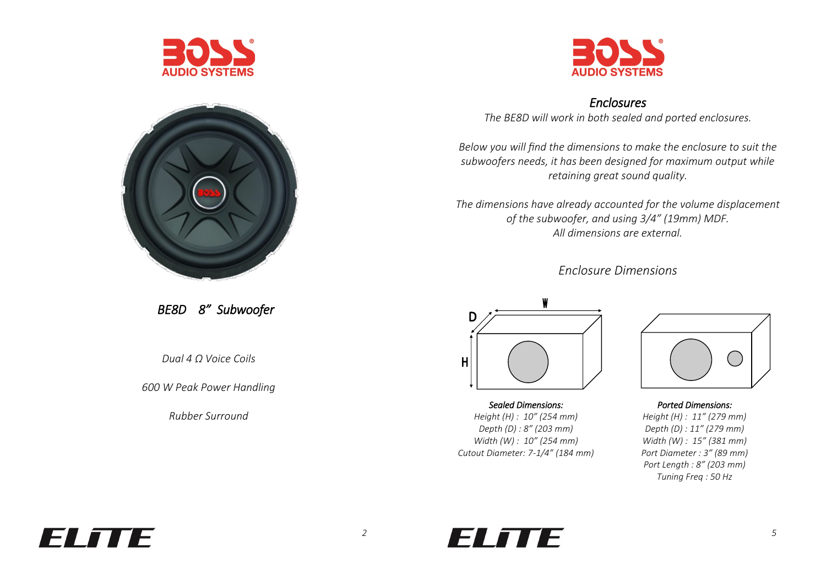



### *Enclosures*

*The BE8D will work in both sealed and ported enclosures.* 

*Below you will find the dimensions to make the enclosure to suit the subwoofers needs, it has been designed for maximum output while retaining great sound quality.* 

*The dimensions have already accounted for the volume displacement of the subwoofer, and using 3/4" (19mm) MDF. All dimensions are external.* 

*Enclosure Dimensions*



*Sealed Dimensions: Height (H) : 10" (254 mm) Depth (D) : 8" (203 mm) Width (W) : 10" (254 mm) Cutout Diameter: 7-1/4" (184 mm)*



*Ported Dimensions: Height (H) : 11" (279 mm) Depth (D) : 11" (279 mm) Width (W) : 15" (381 mm) Port Diameter : 3" (89 mm) Port Length : 8" (203 mm) Tuning Freq : 50 Hz*

 *BE8D 8" Subwoofer* 

*Dual 4 Ω Voice Coils*

*600 W Peak Power Handling*

*Rubber Surround*



# *2 5*